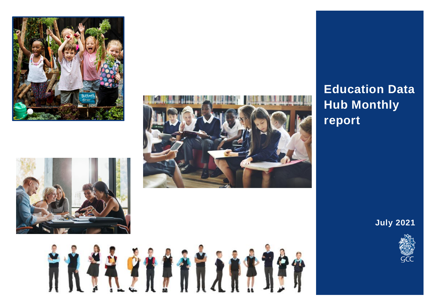







# **Education Data Hub Monthly report**

**July 2021**

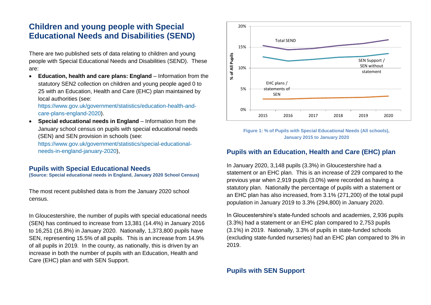# **Children and young people with Special Educational Needs and Disabilities (SEND)**

There are two published sets of data relating to children and young people with Special Educational Needs and Disabilities (SEND). These are:

 **Education, health and care plans: England** – Information from the statutory SEN2 collection on children and young people aged 0 to 25 with an Education, Health and Care (EHC) plan maintained by local authorities (see:

[https://www.gov.uk/government/statistics/education-health-and](https://www.gov.uk/government/statistics/education-health-and-care-plans-england-2020)[care-plans-england-2020\)](https://www.gov.uk/government/statistics/education-health-and-care-plans-england-2020).

 **Special educational needs in England** – Information from the January school census on pupils with special educational needs (SEN) and SEN provision in schools (see:

[https://www.gov.uk/government/statistics/special-educational](https://www.gov.uk/government/statistics/special-educational-needs-in-england-january-2020)[needs-in-england-january-2020\)](https://www.gov.uk/government/statistics/special-educational-needs-in-england-january-2020),

### **Pupils with Special Educational Needs**

**(Source: Special educational needs in England, January 2020 School Census)**

The most recent published data is from the January 2020 school census.

In Gloucestershire, the number of pupils with special educational needs (SEN) has continued to increase from 13,381 (14.4%) in January 2016 to 16,251 (16.8%) in January 2020. Nationally, 1,373,800 pupils have SEN, representing 15.5% of all pupils. This is an increase from 14.9% of all pupils in 2019. In the county, as nationally, this is driven by an increase in both the number of pupils with an Education, Health and Care (EHC) plan and with SEN Support.



**Figure 1: % of Pupils with Special Educational Needs (All schools), January 2015 to January 2020**

# **Pupils with an Education, Health and Care (EHC) plan**

In January 2020, 3,148 pupils (3.3%) in Gloucestershire had a statement or an EHC plan. This is an increase of 229 compared to the previous year when 2,919 pupils (3.0%) were recorded as having a statutory plan. Nationally the percentage of pupils with a statement or an EHC plan has also increased, from 3.1% (271,200) of the total pupil population in January 2019 to 3.3% (294,800) in January 2020.

In Gloucestershire's state-funded schools and academies, 2,936 pupils (3.3%) had a statement or an EHC plan compared to 2,753 pupils (3.1%) in 2019. Nationally, 3.3% of pupils in state-funded schools (excluding state-funded nurseries) had an EHC plan compared to 3% in 2019.

# **Pupils with SEN Support**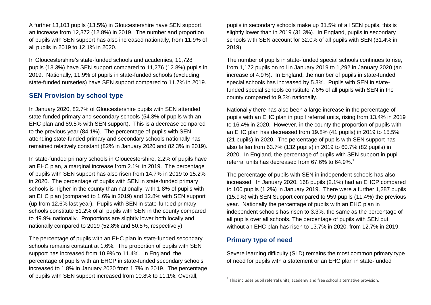A further 13,103 pupils (13.5%) in Gloucestershire have SEN support, an increase from 12,372 (12.8%) in 2019. The number and proportion of pupils with SEN support has also increased nationally, from 11.9% of all pupils in 2019 to 12.1% in 2020.

In Gloucestershire's state-funded schools and academies, 11,728 pupils (13.3%) have SEN support compared to 11,276 (12.8%) pupils in 2019. Nationally, 11.9% of pupils in state-funded schools (excluding state-funded nurseries) have SEN support compared to 11.7% in 2019.

### **SEN Provision by school type**

In January 2020, 82.7% of Gloucestershire pupils with SEN attended state-funded primary and secondary schools (54.3% of pupils with an EHC plan and 89.5% with SEN support). This is a decrease compared to the previous year (84.1%). The percentage of pupils with SEN attending state-funded primary and secondary schools nationally has remained relatively constant (82% in January 2020 and 82.3% in 2019).

In state-funded primary schools in Gloucestershire, 2.2% of pupils have an EHC plan, a marginal increase from 2.1% in 2019. The percentage of pupils with SEN support has also risen from 14.7% in 2019 to 15.2% in 2020. The percentage of pupils with SEN in state-funded primary schools is higher in the county than nationally, with 1.8% of pupils with an EHC plan (compared to 1.6% in 2019) and 12.8% with SEN support (up from 12.6% last year). Pupils with SEN in state-funded primary schools constitute 51.2% of all pupils with SEN in the county compared to 49.9% nationally. Proportions are slightly lower both locally and nationally compared to 2019 (52.8% and 50.8%, respectively).

The percentage of pupils with an EHC plan in state-funded secondary schools remains constant at 1.6%. The proportion of pupils with SEN support has increased from 10.9% to 11.4%. In England, the percentage of pupils with an EHCP in state-funded secondary schools increased to 1.8% in January 2020 from 1.7% in 2019. The percentage of pupils with SEN support increased from 10.8% to 11.1%. Overall,

pupils in secondary schools make up 31.5% of all SEN pupils, this is slightly lower than in 2019 (31.3%). In England, pupils in secondary schools with SEN account for 32.0% of all pupils with SEN (31.4% in 2019).

The number of pupils in state-funded special schools continues to rise, from 1,172 pupils on roll in January 2019 to 1,292 in January 2020 (an increase of 4.9%). In England, the number of pupils in state-funded special schools has increased by 5.3%. Pupils with SEN in statefunded special schools constitute 7.6% of all pupils with SEN in the county compared to 9.3% nationally.

Nationally there has also been a large increase in the percentage of pupils with an EHC plan in pupil referral units, rising from 13.4% in 2019 to 16.4% in 2020. However, in the county the proportion of pupils with an EHC plan has decreased from 19.8% (41 pupils) in 2019 to 15.5% (21 pupils) in 2020. The percentage of pupils with SEN support has also fallen from 63.7% (132 pupils) in 2019 to 60.7% (82 pupils) in 2020. In England, the percentage of pupils with SEN support in pupil referral units has decreased from 67.6% to 64.9%.<sup>1</sup>

The percentage of pupils with SEN in independent schools has also increased. In January 2020, 168 pupils (2.1%) had an EHCP compared to 100 pupils (1.2%) in January 2019. There were a further 1,287 pupils (15.9%) with SEN Support compared to 959 pupils (11.4%) the previous year. Nationally the percentage of pupils with an EHC plan in independent schools has risen to 3.3%, the same as the percentage of all pupils over all schools. The percentage of pupils with SEN but without an EHC plan has risen to 13.7% in 2020, from 12.7% in 2019.

### **Primary type of need**

 $\overline{a}$ 

Severe learning difficulty (SLD) remains the most common primary type of need for pupils with a statement or an EHC plan in state-funded

 $<sup>1</sup>$  This includes pupil referral units, academy and free school alternative provision.</sup>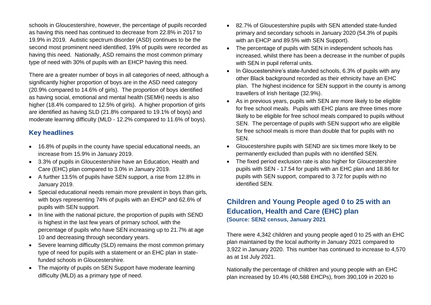schools in Gloucestershire, however, the percentage of pupils recorded as having this need has continued to decrease from 22.8% in 2017 to 19.9% in 2019. Autistic spectrum disorder (ASD) continues to be the second most prominent need identified, 19% of pupils were recorded as having this need. Nationally, ASD remains the most common primary type of need with 30% of pupils with an EHCP having this need.

There are a greater number of boys in all categories of need, although a significantly higher proportion of boys are in the ASD need category (20.9% compared to 14.6% of girls). The proportion of boys identified as having social, emotional and mental health (SEMH) needs is also higher (18.4% compared to 12.5% of girls). A higher proportion of girls are identified as having SLD (21.8% compared to 19.1% of boys) and moderate learning difficulty (MLD - 12.2% compared to 11.6% of boys).

# **Key headlines**

- 16.8% of pupils in the county have special educational needs, an increase from 15.9% in January 2019.
- 3.3% of pupils in Gloucestershire have an Education, Health and Care (EHC) plan compared to 3.0% in January 2019.
- A further 13.5% of pupils have SEN support, a rise from 12.8% in January 2019.
- Special educational needs remain more prevalent in boys than girls, with boys representing 74% of pupils with an EHCP and 62.6% of pupils with SEN support.
- In line with the national picture, the proportion of pupils with SEND is highest in the last few years of primary school, with the percentage of pupils who have SEN increasing up to 21.7% at age 10 and decreasing through secondary years.
- Severe learning difficulty (SLD) remains the most common primary type of need for pupils with a statement or an EHC plan in statefunded schools in Gloucestershire.
- The majority of pupils on SEN Support have moderate learning difficulty (MLD) as a primary type of need.
- 82.7% of Gloucestershire pupils with SEN attended state-funded primary and secondary schools in January 2020 (54.3% of pupils with an EHCP and 89.5% with SEN Support).
- The percentage of pupils with SEN in independent schools has increased, whilst there has been a decrease in the number of pupils with SEN in pupil referral units.
- In Gloucestershire's state-funded schools, 6.3% of pupils with any other Black background recorded as their ethnicity have an EHC plan. The highest incidence for SEN support in the county is among travellers of Irish heritage (32.9%).
- As in previous years, pupils with SEN are more likely to be eligible for free school meals. Pupils with EHC plans are three times more likely to be eligible for free school meals compared to pupils without SEN. The percentage of pupils with SEN support who are eligible for free school meals is more than double that for pupils with no SEN.
- Gloucestershire pupils with SEND are six times more likely to be permanently excluded than pupils with no identified SEN.
- The fixed period exclusion rate is also higher for Gloucestershire pupils with SEN - 17.54 for pupils with an EHC plan and 18.86 for pupils with SEN support, compared to 3.72 for pupils with no identified SEN.

# **Children and Young People aged 0 to 25 with an Education, Health and Care (EHC) plan (Source: SEN2 census, January 2021**

There were 4,342 children and young people aged 0 to 25 with an EHC plan maintained by the local authority in January 2021 compared to 3,922 in January 2020. This number has continued to increase to 4,570 as at 1st July 2021.

Nationally the percentage of children and young people with an EHC plan increased by 10.4% (40,588 EHCPs), from 390,109 in 2020 to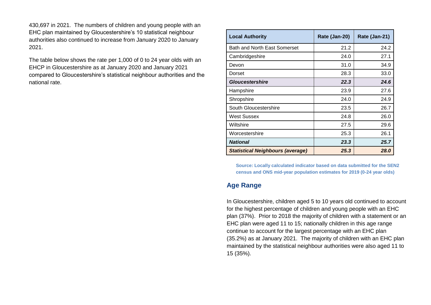430,697 in 2021. The numbers of children and young people with an EHC plan maintained by Gloucestershire's 10 statistical neighbour authorities also continued to increase from January 2020 to January 2021.

The table below shows the rate per 1,000 of 0 to 24 year olds with an EHCP in Gloucestershire as at January 2020 and January 2021 compared to Gloucestershire's statistical neighbour authorities and the national rate.

| <b>Local Authority</b>                  | Rate (Jan-20) | Rate (Jan-21) |
|-----------------------------------------|---------------|---------------|
| Bath and North East Somerset            | 21.2          | 24.2          |
| Cambridgeshire                          | 24.0          | 27.1          |
| Devon                                   | 31.0          | 34.9          |
| Dorset                                  | 28.3          | 33.0          |
| <b>Gloucestershire</b>                  | 22.3          | 24.6          |
| Hampshire                               | 23.9          | 27.6          |
| Shropshire                              | 24.0          | 24.9          |
| South Gloucestershire                   | 23.5          | 26.7          |
| West Sussex                             | 24.8          | 26.0          |
| Wiltshire                               | 27.5          | 29.6          |
| Worcestershire                          | 25.3          | 26.1          |
| <b>National</b>                         | 23.3          | 25.7          |
| <b>Statistical Neighbours (average)</b> | 25.3          | 28.0          |

**Source: Locally calculated indicator based on data submitted for the SEN2 census and ONS mid-year population estimates for 2019 (0-24 year olds)**

# **Age Range**

In Gloucestershire, children aged 5 to 10 years old continued to account for the highest percentage of children and young people with an EHC plan (37%). Prior to 2018 the majority of children with a statement or an EHC plan were aged 11 to 15; nationally children in this age range continue to account for the largest percentage with an EHC plan (35.2%) as at January 2021. The majority of children with an EHC plan maintained by the statistical neighbour authorities were also aged 11 to 15 (35%).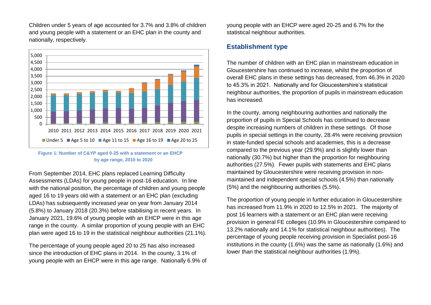Children under 5 years of age accounted for 3.7% and 3.8% of children and young people with a statement or an EHC plan in the county and nationally, respectively.



#### **Figure 1: Number of C&YP aged 0-25 with a statement or an EHCP by age range, 2010 to 2020**

From September 2014, EHC plans replaced Learning Difficulty Assessments (LDAs) for young people in post-16 education. In line with the national position, the percentage of children and young people aged 16 to 19 years old with a statement or an EHC plan (excluding LDAs) has subsequently increased year on year from January 2014 (5.8%) to January 2018 (20.3%) before stabilising in recent years. In January 2021, 19.6% of young people with an EHCP were in this age range in the county. A similar proportion of young people with an EHC plan were aged 16 to 19 in the statistical neighbour authorities (21.1%).

The percentage of young people aged 20 to 25 has also increased since the introduction of EHC plans in 2014. In the county, 3.1% of young people with an EHCP were in this age range. Nationally 6.9% of young people with an EHCP were aged 20-25 and 6.7% for the statistical neighbour authorities.

### **Establishment type**

The number of children with an EHC plan in mainstream education in Gloucestershire has continued to increase, whilst the proportion of overall EHC plans in these settings has decreased, from 46.3% in 2020 to 45.3% in 2021. Nationally and for Gloucestershire's statistical neighbour authorities, the proportion of pupils in mainstream education has increased.

In the county, among neighbouring authorities and nationally the proportion of pupils in Special Schools has continued to decrease despite increasing numbers of children in these settings. Of those pupils in special settings in the county, 28.4% were receiving provision in state-funded special schools and academies, this is a decrease compared to the previous year (29.9%) and is slightly lower than nationally (30.7%) but higher than the proportion for neighbouring authorities (27.5%). Fewer pupils with statements and EHC plans maintained by Gloucestershire were receiving provision in nonmaintained and independent special schools (4.5%) than nationally (5%) and the neighbouring authorities (5.5%).

The proportion of young people in further education in Gloucestershire has increased from 11.9% in 2020 to 12.5% in 2021. The majority of post 16 learners with a statement or an EHC plan were receiving provision in general FE colleges (10.9% in Gloucestershire compared to 13.2% nationally and 14.1% for statistical neighbour authorities). The percentage of young people receiving provision in Specialist post-16 institutions in the county (1.6%) was the same as nationally (1.6%) and lower than the statistical neighbour authorities (1.9%).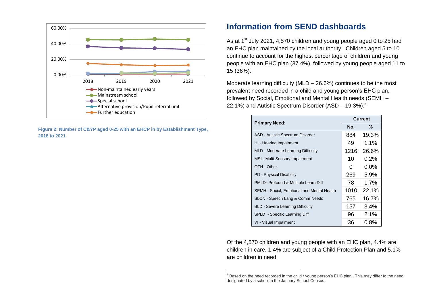

**Figure 2: Number of C&YP aged 0-25 with an EHCP in by Establishment Type, 2018 to 2021**

# **Information from SEND dashboards**

As at 1<sup>st</sup> July 2021, 4,570 children and young people aged 0 to 25 had an EHC plan maintained by the local authority. Children aged 5 to 10 continue to account for the highest percentage of children and young people with an EHC plan (37.4%), followed by young people aged 11 to 15 (36%).

Moderate learning difficulty (MLD – 26.6%) continues to be the most prevalent need recorded in a child and young person's EHC plan, followed by Social, Emotional and Mental Health needs (SEMH – 22.1%) and Autistic Spectrum Disorder (ASD – 19.3%). 2

|                                            | <b>Current</b> |         |
|--------------------------------------------|----------------|---------|
| <b>Primary Need:</b>                       | No.            | $\%$    |
| ASD - Autistic Spectrum Disorder           | 884            | 19.3%   |
| HI - Hearing Impairment                    | 49             | $1.1\%$ |
| MLD - Moderate Learning Difficulty         | 1216           | 26.6%   |
| MSI - Multi-Sensory Impairment             | 10             | $0.2\%$ |
| OTH - Other                                | 0              | $0.0\%$ |
| PD - Physical Disability                   | 269            | $5.9\%$ |
| PMLD- Profound & Multiple Learn Diff       | 78             | 1.7%    |
| SEMH - Social, Emotional and Mental Health | 1010           | 22.1%   |
| SLCN - Speech Lang & Comm Needs            | 765            | 16.7%   |
| <b>SLD - Severe Learning Difficulty</b>    | 157            | $3.4\%$ |
| SPLD - Specific Learning Diff              | 96             | 2.1%    |
| VI - Visual Impairment                     | 36             | $0.8\%$ |

Of the 4,570 children and young people with an EHC plan, 4.4% are children in care, 1.4% are subject of a Child Protection Plan and 5.1% are children in need.

 $\overline{a}$ 

 $<sup>2</sup>$  Based on the need recorded in the child / young person's EHC plan. This may differ to the need</sup> designated by a school in the January School Census.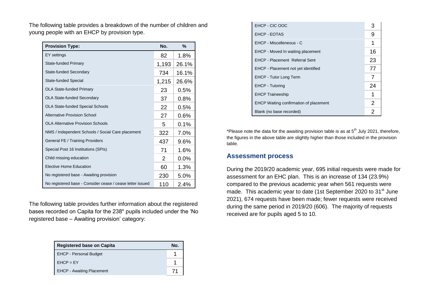The following table provides a breakdown of the number of children and young people with an EHCP by provision type.

| <b>Provision Type:</b>                                    | No.   | $\%$    |
|-----------------------------------------------------------|-------|---------|
| EY settings                                               | 82    | 1.8%    |
| <b>State-funded Primary</b>                               | 1,193 | 26.1%   |
| State-funded Secondary                                    | 734   | 16.1%   |
| State-funded Special                                      | 1,215 | 26.6%   |
| <b>OLA State-funded Primary</b>                           | 23    | 0.5%    |
| <b>OLA State-funded Secondary</b>                         | 37    | 0.8%    |
| <b>OLA State-funded Special Schools</b>                   | 22    | 0.5%    |
| <b>Alternative Provision School</b>                       | 27    | 0.6%    |
| <b>OLA Alternative Provision Schools</b>                  | 5     | 0.1%    |
| NMS / Independent Schools / Social Care placement         | 322   | 7.0%    |
| General FE / Training Providers                           | 437   | $9.6\%$ |
| Special Post 16 Institutions (SPIs)                       | 71    | 1.6%    |
| Child missing education                                   | 2     | 0.0%    |
| <b>Elective Home Education</b>                            | 60    | 1.3%    |
| No registered base - Awaiting provision                   | 230   | 5.0%    |
| No registered base - Consider cease / cease letter issued | 110   | 2.4%    |

The following table provides further information about the registered bases recorded on Capita for the 238\* pupils included under the 'No registered base – Awaiting provision' category:

| <b>Registered base on Capita</b> | No. |
|----------------------------------|-----|
| <b>EHCP - Personal Budget</b>    |     |
| $E HCP = EY$                     |     |
| <b>EHCP - Awaiting Placement</b> |     |

| EHCP - CIC OOC                                | 3  |
|-----------------------------------------------|----|
| <b>EHCP - EOTAS</b>                           | 9  |
| EHCP - Miscelleneous - C                      | 1  |
| EHCP - Moved In waiting placement             | 16 |
| <b>EHCP - Placement Referral Sent</b>         | 23 |
| EHCP - Placement not yet identified           | 77 |
| <b>EHCP - Tutor Long Term</b>                 | 7  |
| <b>EHCP - Tutoring</b>                        | 24 |
| <b>EHCP Traineeship</b>                       | 1  |
| <b>EHCP Waiting confirmation of placement</b> | 2  |
| Blank (no base recorded)                      | 2  |

\*Please note the data for the awaiting provision table is as at  $5<sup>th</sup>$  July 2021, therefore, the figures in the above table are slightly higher than those included in the provision table.

### **Assessment process**

During the 2019/20 academic year, 695 initial requests were made for assessment for an EHC plan. This is an increase of 134 (23.9%) compared to the previous academic year when 561 requests were made. This academic year to date (1st September 2020 to 31<sup>st</sup> June 2021), 674 requests have been made; fewer requests were received during the same period in 2019/20 (606). The majority of requests received are for pupils aged 5 to 10.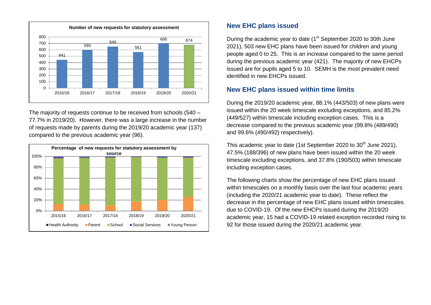

The majority of requests continue to be received from schools (540 – 77.7% in 2019/20). However, there was a large increase in the number of requests made by parents during the 2019/20 academic year (137) compared to the previous academic year (96).



### **New EHC plans issued**

During the academic year to date (1<sup>st</sup> September 2020 to 30th June 2021), 503 new EHC plans have been issued for children and young people aged 0 to 25. This is an increase compared to the same period during the previous academic year (421). The majority of new EHCPs issued are for pupils aged 5 to 10. SEMH is the most prevalent need identified in new EHCPs issued.

# **New EHC plans issued within time limits**

During the 2019/20 academic year, 88.1% (443/503) of new plans were issued within the 20 week timescale excluding exceptions, and 85.2% (449/527) within timescale including exception cases. This is a decrease compared to the previous academic year (99.8% (489/490) and 99.6% (490/492) respectively).

This academic year to date (1st September 2020 to 30<sup>th</sup> June 2021), 47.5% (188/396) of new plans have been issued within the 20 week timescale excluding exceptions, and 37.8% (190/503) within timescale including exception cases.

The following charts show the percentage of new EHC plans issued within timescales on a monthly basis over the last four academic years (including the 2020/21 academic year to date). These reflect the decrease in the percentage of new EHC plans issued within timescales due to COVID-19. Of the new EHCPs issued during the 2019/20 academic year, 15 had a COVID-19 related exception recorded rising to 92 for those issued during the 2020/21 academic year.